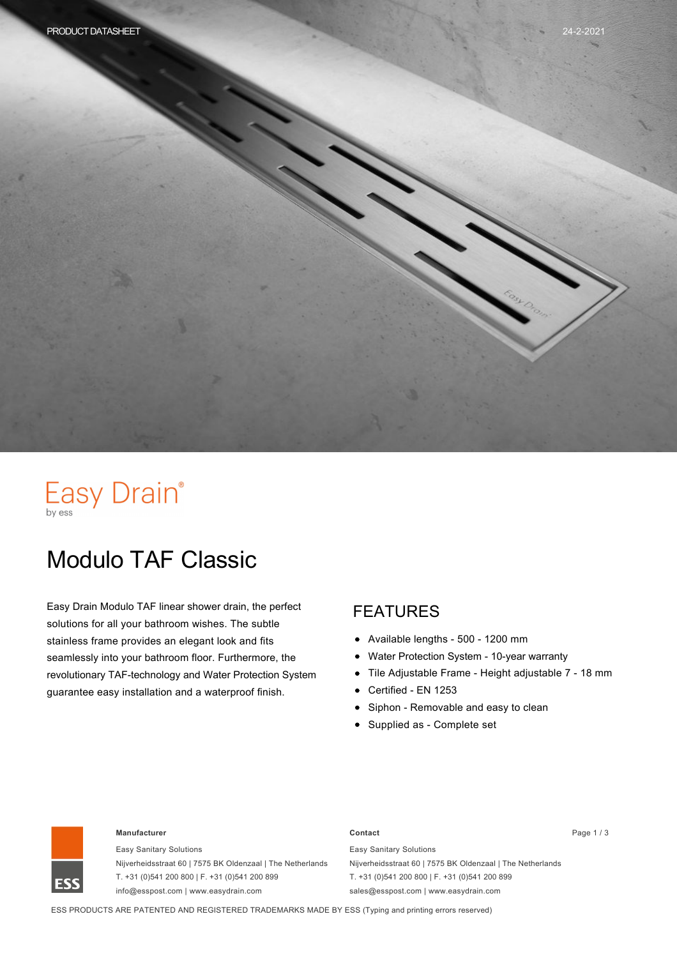# Easy Drain®

# Modulo TAF Classic

Easy Drain Modulo TAF linear shower drain, the perfect solutions for all your bathroom wishes. The subtle stainless frame provides an elegant look and fits seamlessly into your bathroom floor. Furthermore, the revolutionary TAF-technology and Water Protection System guarantee easy installation and a waterproof finish.

#### FEATURES

- Available lengths 500 1200 mm
- Water Protection System 10-year warranty
- Tile Adjustable Frame Height adjustable 7 18 mm
- Certified EN 1253
- Siphon Removable and easy to clean
- Supplied as Complete set



#### **Manufacturer Contact** Page 1 / 3

Easy Sanitary Solutions Nijverheidsstraat 60 | 7575 BK Oldenzaal | The Netherlands T. +31 (0)541 200 800 | F. +31 (0)541 200 899 info@esspost.com | www.easydrain.com

Easy Sanitary Solutions Nijverheidsstraat 60 | 7575 BK Oldenzaal | The Netherlands T. +31 (0)541 200 800 | F. +31 (0)541 200 899 sales@esspost.com | www.easydrain.com

ESS PRODUCTS ARE PATENTED AND REGISTERED TRADEMARKS MADE BY ESS (Typing and printing errors reserved)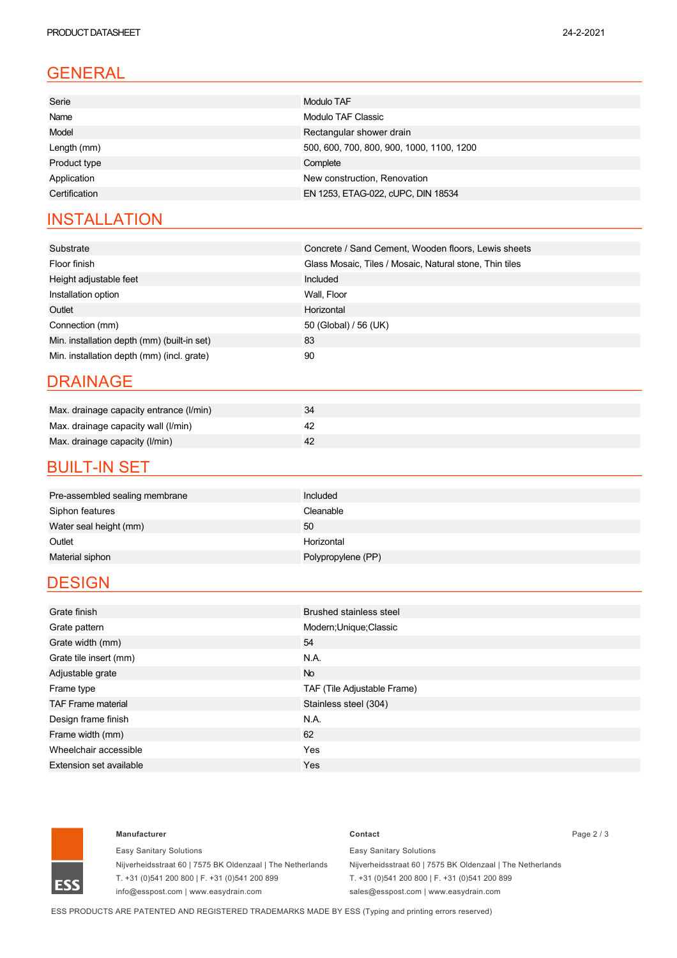# GENERAL

| Modulo TAF                                |
|-------------------------------------------|
| Modulo TAF Classic                        |
| Rectangular shower drain                  |
| 500, 600, 700, 800, 900, 1000, 1100, 1200 |
| Complete                                  |
| New construction, Renovation              |
| EN 1253, ETAG-022, cUPC, DIN 18534        |
|                                           |

### **INSTALLATION**

| Substrate                                   | Concrete / Sand Cement, Wooden floors, Lewis sheets     |
|---------------------------------------------|---------------------------------------------------------|
| Floor finish                                | Glass Mosaic, Tiles / Mosaic, Natural stone, Thin tiles |
| Height adjustable feet                      | Included                                                |
| Installation option                         | Wall, Floor                                             |
| Outlet                                      | Horizontal                                              |
| Connection (mm)                             | 50 (Global) / 56 (UK)                                   |
| Min. installation depth (mm) (built-in set) | 83                                                      |
| Min. installation depth (mm) (incl. grate)  | 90                                                      |

#### DRAINAGE

| Max. drainage capacity entrance (I/min) |  |
|-----------------------------------------|--|
| Max. drainage capacity wall (I/min)     |  |
| Max. drainage capacity (I/min)          |  |

#### **BUILT-IN SET**

| Pre-assembled sealing membrane | Included           |
|--------------------------------|--------------------|
| Siphon features                | Cleanable          |
| Water seal height (mm)         | 50                 |
| Outlet                         | Horizontal         |
| Material siphon                | Polypropylene (PP) |
|                                |                    |

### **DESIGN**

| Grate finish              | <b>Brushed stainless steel</b> |
|---------------------------|--------------------------------|
| Grate pattern             | Modern; Unique; Classic        |
| Grate width (mm)          | 54                             |
| Grate tile insert (mm)    | N.A.                           |
| Adjustable grate          | <b>No</b>                      |
| Frame type                | TAF (Tile Adjustable Frame)    |
| <b>TAF Frame material</b> | Stainless steel (304)          |
| Design frame finish       | N.A.                           |
| Frame width (mm)          | 62                             |
| Wheelchair accessible     | Yes                            |
| Extension set available   | Yes                            |



#### **Manufacturer Contact** Page 2 / 3

Easy Sanitary Solutions Nijverheidsstraat 60 | 7575 BK Oldenzaal | The Netherlands T. +31 (0)541 200 800 | F. +31 (0)541 200 899 info@esspost.com | www.easydrain.com

Easy Sanitary Solutions Nijverheidsstraat 60 | 7575 BK Oldenzaal | The Netherlands T. +31 (0)541 200 800 | F. +31 (0)541 200 899 sales@esspost.com | www.easydrain.com

ESS PRODUCTS ARE PATENTED AND REGISTERED TRADEMARKS MADE BY ESS (Typing and printing errors reserved)